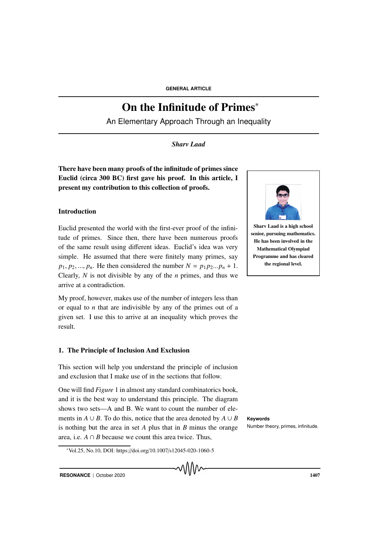# On the Infinitude of Primes<sup>∗</sup>

An Elementary Approach Through an Inequality

## *Sharv Laad*

There have been many proofs of the infinitude of primes since Euclid (circa 300 BC) first gave his proof. In this article, I present my contribution to this collection of proofs.

## Introduction

Euclid presented the world with the first-ever proof of the infinitude of primes. Since then, there have been numerous proofs of the same result using different ideas. Euclid's idea was very simple. He assumed that there were finitely many primes, say *p*<sub>1</sub>, *p*<sub>2</sub>, ..., *p*<sub>*n*</sub>. He then considered the number  $N = p_1 p_2 ... p_n + 1$ . Clearly, *N* is not divisible by any of the *n* primes, and thus we arrive at a contradiction.

My proof, however, makes use of the number of integers less than or equal to *n* that are indivisible by any of the primes out of a given set. I use this to arrive at an inequality which proves the result.

#### 1. The Principle of Inclusion And Exclusion

This section will help you understand the principle of inclusion and exclusion that I make use of in the sections that follow.

One will find *Figure* 1 in almost any standard combinatorics book, and it is the best way to understand this principle. The diagram shows two sets—A and B. We want to count the number of elements in  $A \cup B$ . To do this, notice that the area denoted by  $A \cup B$  **Keywords** is nothing but the area in set  $A$  plus that in  $B$  minus the orange Number theory, primes, infinitude. area, i.e.  $A \cap B$  because we count this area twice. Thus,

<sup>∗</sup>Vol.25, No.10, DOI: https://doi.org/10.1007/s12045-020-1060-5





Sharv Laad is a high school senior, pursuing mathematics. He has been involved in the Mathematical Olympiad Programme and has cleared the regional level.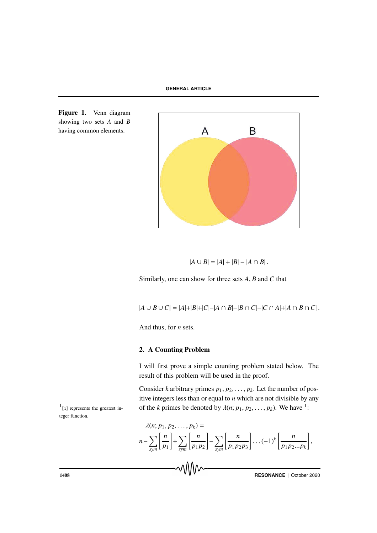

Figure 1. Venn diagram showing two sets *A* and *B* having common elements.

$$
|A \cup B| = |A| + |B| - |A \cap B|.
$$

Similarly, one can show for three sets *A*, *B* and *C* that

$$
|A \cup B \cup C| = |A|+|B|+|C|-|A \cap B|-|B \cap C|-|C \cap A|+|A \cap B \cap C|.
$$

And thus, for *n* sets.

## 2. A Counting Problem

I will first prove a simple counting problem stated below. The result of this problem will be used in the proof.

Consider *k* arbitrary primes  $p_1, p_2, \ldots, p_k$ . Let the number of positive integers less than or equal to *n* which are not divisible by any <sup>1</sup>[x] represents the greatest in-<br>of the *k* primes be denoted by  $\lambda(n; p_1, p_2, \ldots, p_k)$ . We have <sup>1</sup>:

 $\frac{1}{x}$ [x] represents the greatest integer function.

$$
\lambda(n; p_1, p_2, \dots, p_k) =
$$
  

$$
n - \sum_{sym} \left[ \frac{n}{p_1} \right] + \sum_{sym} \left[ \frac{n}{p_1 p_2} \right] - \sum_{sym} \left[ \frac{n}{p_1 p_2 p_3} \right] \dots (-1)^k \left[ \frac{n}{p_1 p_2 \dots p_k} \right],
$$

**THESONANCE** | October 2020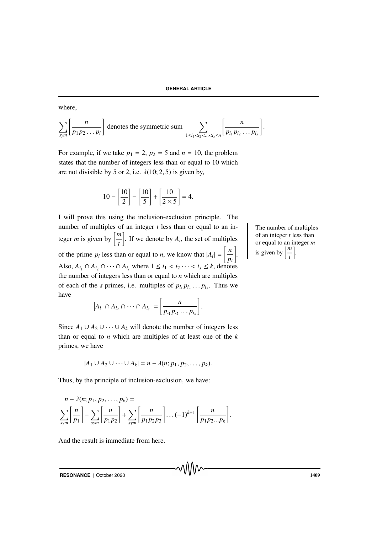where,

$$
\sum_{sym} \left[ \frac{n}{p_1 p_2 \dots p_i} \right] \text{ denotes the symmetric sum } \sum_{1 \leq i_1 < i_2 < \dots < i_s \leq n} \left[ \frac{n}{p_{i_1} p_{i_2} \dots p_{i_s}} \right].
$$

For example, if we take  $p_1 = 2$ ,  $p_2 = 5$  and  $n = 10$ , the problem states that the number of integers less than or equal to 10 which are not divisible by 5 or 2, i.e.  $\lambda(10; 2, 5)$  is given by,

$$
10 - \left[\frac{10}{2}\right] - \left[\frac{10}{5}\right] + \left[\frac{10}{2 \times 5}\right] = 4.
$$

I will prove this using the inclusion-exclusion principle. The number of multiples of an integer *t* less than or equal to an integer *m* is given by  $\left[\frac{m}{t}\right]$ . If we denote by  $A_i$ , the set of multiples of the prime  $p_i$  less than or equal to *n*, we know that  $|A_i| = \frac{n}{n}$ *pi* # . Also,  $A_{i_1} \cap A_{i_2} \cap \cdots \cap A_{i_s}$  where  $1 \leq i_1 < i_2 \cdots < i_s \leq k$ , denotes the number of integers less than or equal to *n* which are multiples of each of the *s* primes, i.e. multiples of  $p_{i_1} p_{i_2} \dots p_{i_s}$ . Thus we have

$$
|A_{i_1} \cap A_{i_2} \cap \cdots \cap A_{i_s}| = \left[\frac{n}{p_{i_1}p_{i_2}\cdots p_{i_s}}\right].
$$

Since  $A_1 \cup A_2 \cup \cdots \cup A_k$  will denote the number of integers less than or equal to *n* which are multiples of at least one of the *k* primes, we have

$$
|A_1 \cup A_2 \cup \cdots \cup A_k| = n - \lambda(n; p_1, p_2, \ldots, p_k).
$$

Thus, by the principle of inclusion-exclusion, we have:

$$
n - \lambda(n; p_1, p_2, \dots, p_k) =
$$
  

$$
\sum_{sym} \left[ \frac{n}{p_1} \right] - \sum_{sym} \left[ \frac{n}{p_1 p_2} \right] + \sum_{sym} \left[ \frac{n}{p_1 p_2 p_3} \right] \dots (-1)^{k+1} \left[ \frac{n}{p_1 p_2 \dots p_k} \right].
$$

And the result is immediate from here.

**RESONANCE** | October 2020 1409

The number of multiples of an integer *t* less than or equal to an integer *m* is given by  $\left\lceil \frac{m}{t} \right\rceil$ .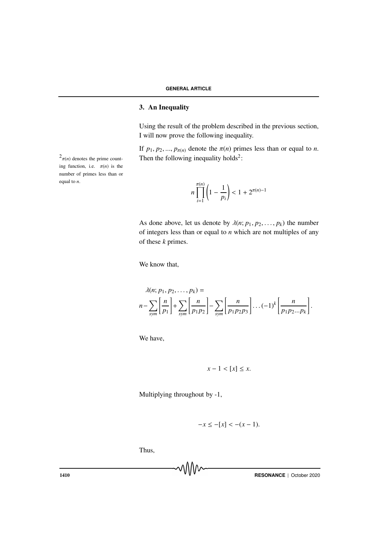## 3. An Inequality

Using the result of the problem described in the previous section, I will now prove the following inequality.

If  $p_1, p_2, ..., p_{\pi(n)}$  denote the  $\pi(n)$  primes less than or equal to *n*.  $2_{\pi(n)}$  denotes the prime count-<br>Then the following inequality holds<sup>2</sup>:

> $\prod_{n=1}^{\pi(n)}$ *i*=1  $\left(1-\frac{1}{\cdot}\right)$ *pi*  $\Big\}$  < 1 + 2<sup>π(*n*)−1</sup>

As done above, let us denote by  $\lambda(n; p_1, p_2, \ldots, p_k)$  the number of integers less than or equal to *n* which are not multiples of any of these *k* primes.

We know that,

$$
\lambda(n; p_1, p_2, \dots, p_k) =
$$
  

$$
n - \sum_{sym} \left[ \frac{n}{p_1} \right] + \sum_{sym} \left[ \frac{n}{p_1 p_2} \right] - \sum_{sym} \left[ \frac{n}{p_1 p_2 p_3} \right] \dots (-1)^k \left[ \frac{n}{p_1 p_2 \dots p_k} \right].
$$

We have,

$$
x - 1 < [x] \leq x.
$$

Multiplying throughout by -1,

$$
-x \le -[x] < -(x-1).
$$

Thus,

Ta10 **RESONANCE** | October 2020

 $\int_0^2 \pi(n)$  denotes the prime counting function, i.e.  $\pi(n)$  is the number of primes less than or equal to *n*.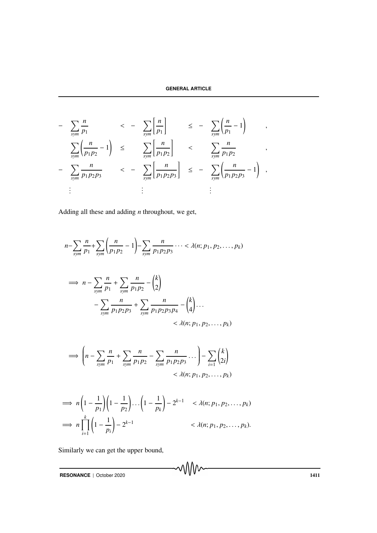$$
-\sum_{sym} \frac{n}{p_1} \left( \frac{n}{p_1 p_2} - 1 \right) \leq -\sum_{sym} \left[ \frac{n}{p_1 p_2} \right] \leq -\sum_{sym} \left( \frac{n}{p_1} - 1 \right) ,
$$
  

$$
-\sum_{sym} \frac{n}{p_1 p_2 p_3} \leq -\sum_{sym} \left[ \frac{n}{p_1 p_2 p_3} \right] \leq -\sum_{sym} \left( \frac{n}{p_1 p_2 p_3} - 1 \right) ,
$$
  

$$
\vdots \qquad \vdots \qquad \vdots \qquad \vdots
$$

Adding all these and adding *n* throughout, we get,

$$
n - \sum_{sym} \frac{n}{p_1} + \sum_{sym} \left( \frac{n}{p_1 p_2} - 1 \right) - \sum_{sym} \frac{n}{p_1 p_2 p_3} \cdots < \lambda(n; p_1, p_2, \dots, p_k)
$$
  
\n
$$
\implies n - \sum_{sym} \frac{n}{p_1} + \sum_{sym} \frac{n}{p_1 p_2} - {k \choose 2}
$$
  
\n
$$
- \sum_{sym} \frac{n}{p_1 p_2 p_3} + \sum_{sym} \frac{n}{p_1 p_2 p_3 p_4} - {k \choose 4} \cdots < \lambda(n; p_1, p_2, \dots, p_k)
$$

$$
\implies \left(n - \sum_{sym} \frac{n}{p_1} + \sum_{sym} \frac{n}{p_1 p_2} - \sum_{sym} \frac{n}{p_1 p_2 p_3} \cdots \right) - \sum_{i=1}^{\infty} {k \choose 2i} < \lambda(n; p_1, p_2, \ldots, p_k)
$$

$$
\implies n\left(1-\frac{1}{p_1}\right)\left(1-\frac{1}{p_2}\right)\dots\left(1-\frac{1}{p_k}\right)-2^{k-1} < \lambda(n; p_1, p_2, \dots, p_k)
$$
\n
$$
\implies n\prod_{i=1}^k \left(1-\frac{1}{p_i}\right)-2^{k-1} < \lambda(n; p_1, p_2, \dots, p_k).
$$

Similarly we can get the upper bound,

**RESONANCE** | October 2020 1411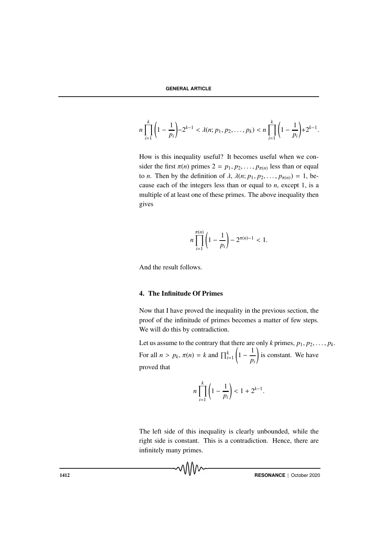$$
n\prod_{i=1}^k\left(1-\frac{1}{p_i}\right)-2^{k-1}<\lambda(n;p_1,p_2,\ldots,p_k)
$$

How is this inequality useful? It becomes useful when we consider the first  $\pi(n)$  primes  $2 = p_1, p_2, \ldots, p_{\pi(n)}$  less than or equal to *n*. Then by the definition of  $\lambda$ ,  $\lambda(n; p_1, p_2, \dots, p_{\pi(n)}) = 1$ , because each of the integers less than or equal to *n*, except 1, is a multiple of at least one of these primes. The above inequality then gives

$$
n\prod_{i=1}^{\pi(n)}\left(1-\frac{1}{p_i}\right)-2^{\pi(n)-1}<1.
$$

And the result follows.

#### 4. The Infinitude Of Primes

Now that I have proved the inequality in the previous section, the proof of the infinitude of primes becomes a matter of few steps. We will do this by contradiction.

Let us assume to the contrary that there are only *k* primes,  $p_1, p_2, \ldots, p_k$ . For all  $n > p_k$ ,  $\pi(n) = k$  and  $\prod_{i=1}^k$  $\left(1-\frac{1}{\cdot}\right)$ *pi* is constant. We have proved that

$$
n\prod_{i=1}^{k} \left(1 - \frac{1}{p_i}\right) < 1 + 2^{k-1}.
$$

The left side of this inequality is clearly unbounded, while the right side is constant. This is a contradiction. Hence, there are infinitely many primes.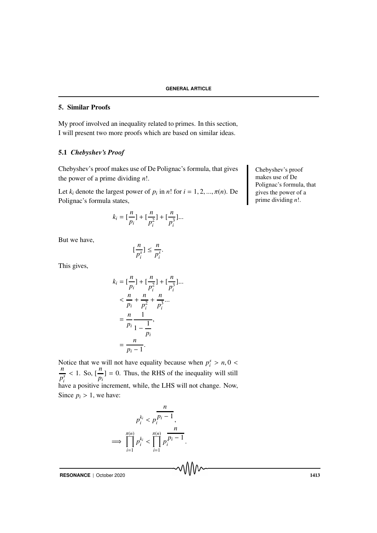## 5. Similar Proofs

My proof involved an inequality related to primes. In this section, I will present two more proofs which are based on similar ideas.

## 5.1 *Chebyshev's Proof*

Chebyshev's proof makes use of De Polignac's formula, that gives Chebyshev's proof the power of a prime dividing *n*!.

Let  $k_i$  denote the largest power of  $p_i$  in  $n!$  for  $i = 1, 2, ..., \pi(n)$ . De Polignac's formula states,

$$
k_i = \left[\frac{n}{p_i}\right] + \left[\frac{n}{p_i^2}\right] + \left[\frac{n}{p_i^3}\right] \dots
$$

*n*

.

But we have,

[ *n p s i* ] ≤ *p s i*

This gives,

$$
k_{i} = \left[\frac{n}{p_{i}}\right] + \left[\frac{n}{p_{i}^{2}}\right] + \left[\frac{n}{p_{i}^{3}}\right] \dots
$$
  

$$
< \frac{n}{p_{i}} + \frac{n}{p_{i}^{2}} + \frac{n}{p_{i}^{3}} \dots
$$
  

$$
= \frac{n}{p_{i}} \frac{1}{1 - \frac{1}{p_{i}}},
$$
  

$$
= \frac{n}{p_{i} - 1}.
$$

Notice that we will not have equality because when  $p_i^s > n, 0 < n$ *p s i* < 1. So, [ *n*  $\frac{n}{p_i}$  = 0. Thus, the RHS of the inequality will still have a positive increment, while, the LHS will not change. Now, Since  $p_i > 1$ , we have:

$$
p_i^{k_i} < p_i^{\overline{p_i - 1}},
$$
\n
$$
\implies \prod_{i=1}^{\pi(n)} p_i^{k_i} < \prod_{i=1}^{\pi(n)} p_i^{\overline{p_i - 1}}.
$$

**RESONANCE** | October 2020 **1413** 

makes use of De Polignac's formula, that gives the power of a prime dividing *n*!.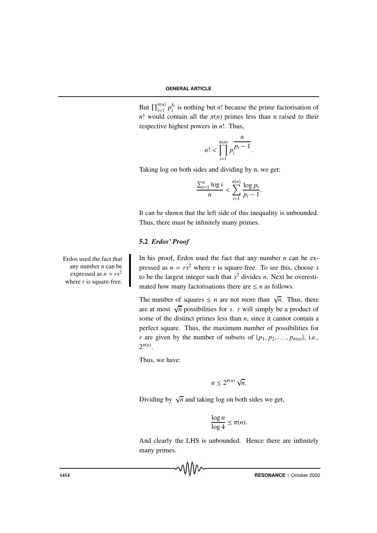But  $\prod_{i=1}^{\pi(n)} p_i^{k_i}$  is nothing but *n*! because the prime factorisation of *n*! would contain all the  $\pi(n)$  primes less than n raised to their respective highest powers in *n*!. Thus,

$$
n! < \prod_{i=1}^{\pi(n)} p_i^{\frac{n}{p_i-1}}.
$$

Taking log on both sides and dividing by n, we get:

$$
\frac{\sum_{i=1}^n \log i}{n} < \sum_{i=1}^{\pi(n)} \frac{\log p_i}{p_i - 1}.
$$

It can be shown that the left side of this inequality is unbounded. Thus, there must be infinitely many primes.

## 5.2 *Erdos' Proof*

In his proof, Erdos used the fact that any number  $n$  can be expressed as  $n = rs^2$  where *r* is square-free. To see this, choose *s* to be the largest integer such that  $s^2$  divides *n*. Next he overestimated how many factorisations there are  $\leq n$  as follows.

The number of squares  $\leq n$  are not more than  $\sqrt{n}$ . Thus, there are at most  $\sqrt{n}$  possibilities for *s*. *r* will simply be a product of some of the distinct primes less than *n*, since it cannot contain a perfect square. Thus, the maximum number of possibilities for *r* are given by the number of subsets of  $\{p_1, p_2, \ldots, p_{\pi(n)}\}$ , i.e.,  $2^{\pi(n)}$ .

Thus, we have:

$$
n\leq 2^{\pi(n)}\sqrt{n}.
$$

Dividing by  $\sqrt{n}$  and taking log on both sides we get,

$$
\frac{\log n}{\log 4} \le \pi(n).
$$

And clearly the LHS is unbounded. Hence there are infinitely many primes.

1414 **RESONANCE** | October 2020

Erdos used the fact that any number *n* can be expressed as  $n = rs^2$ where *r* is square-free.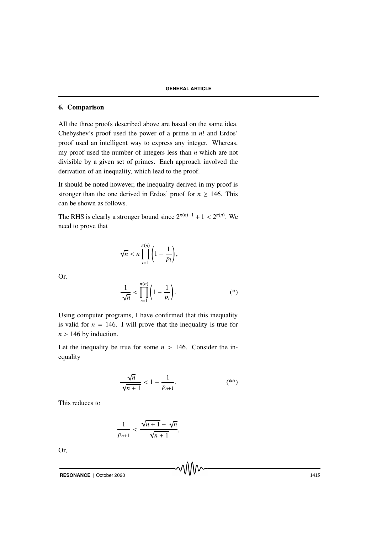#### 6. Comparison

All the three proofs described above are based on the same idea. Chebyshev's proof used the power of a prime in *n*! and Erdos' proof used an intelligent way to express any integer. Whereas, my proof used the number of integers less than *n* which are not divisible by a given set of primes. Each approach involved the derivation of an inequality, which lead to the proof.

It should be noted however, the inequality derived in my proof is stronger than the one derived in Erdos' proof for  $n \geq 146$ . This can be shown as follows.

The RHS is clearly a stronger bound since  $2^{\pi(n)-1} + 1 < 2^{\pi(n)}$ . We need to prove that

$$
\sqrt{n} < n \prod_{i=1}^{\pi(n)} \left( 1 - \frac{1}{p_i} \right),
$$

Or,

$$
\frac{1}{\sqrt{n}} < \prod_{i=1}^{\pi(n)} \left( 1 - \frac{1}{p_i} \right). \tag{*}
$$

Using computer programs, I have confirmed that this inequality is valid for  $n = 146$ . I will prove that the inequality is true for  $n > 146$  by induction.

Let the inequality be true for some  $n > 146$ . Consider the inequality

$$
\frac{\sqrt{n}}{\sqrt{n+1}} < 1 - \frac{1}{p_{n+1}}.\tag{**}
$$

This reduces to

$$
\frac{1}{p_{n+1}} < \frac{\sqrt{n+1} - \sqrt{n}}{\sqrt{n+1}},
$$

Or,

**RESONANCE** | October 2020 1415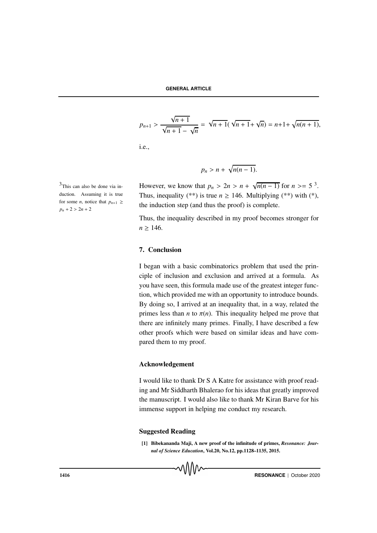$$
p_{n+1} > \frac{\sqrt{n+1}}{\sqrt{n+1} - \sqrt{n}} = \sqrt{n+1}(\sqrt{n+1} + \sqrt{n}) = n+1+\sqrt{n(n+1)},
$$

i.e.,

$$
p_n > n + \sqrt{n(n-1)}.
$$

<sup>3</sup>This can also be done via in-<br>However, we know that  $p_n > 2n > n + \sqrt{n(n-1)}$  for  $n > = 5$ <sup>3</sup>. Thus, inequality (\*\*) is true  $n \ge 146$ . Multiplying (\*\*) with (\*), the induction step (and thus the proof) is complete.

> Thus, the inequality described in my proof becomes stronger for  $n > 146$ .

#### 7. Conclusion

I began with a basic combinatorics problem that used the principle of inclusion and exclusion and arrived at a formula. As you have seen, this formula made use of the greatest integer function, which provided me with an opportunity to introduce bounds. By doing so, I arrived at an inequality that, in a way, related the primes less than *n* to  $\pi(n)$ . This inequality helped me prove that there are infinitely many primes. Finally, I have described a few other proofs which were based on similar ideas and have compared them to my proof.

#### Acknowledgement

I would like to thank Dr S A Katre for assistance with proof reading and Mr Siddharth Bhalerao for his ideas that greatly improved the manuscript. I would also like to thank Mr Kiran Barve for his immense support in helping me conduct my research.

#### Suggested Reading

[1] Bibekananda Maji, A new proof of the infinitude of primes, *Resonance: Journal of Science Education*, Vol.20, No.12, pp.1128–1135, 2015.

 $3$ This can also be done via induction. Assuming it is true for some *n*, notice that  $p_{n+1} \geq$  $p_n + 2 > 2n + 2$